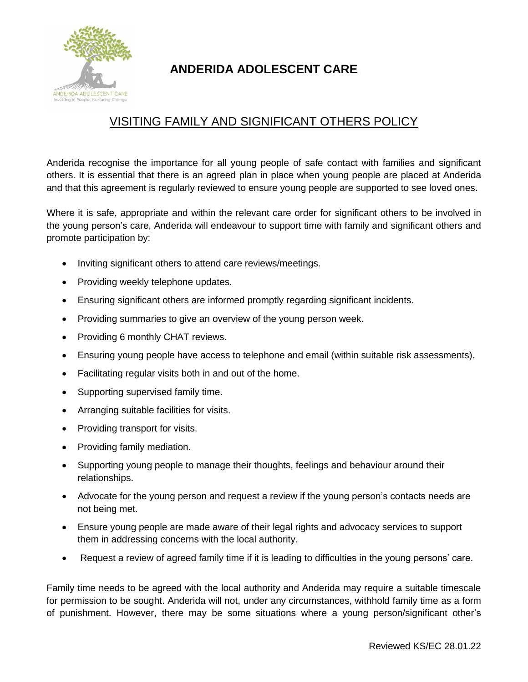

## **ANDERIDA ADOLESCENT CARE**

## VISITING FAMILY AND SIGNIFICANT OTHERS POLICY

Anderida recognise the importance for all young people of safe contact with families and significant others. It is essential that there is an agreed plan in place when young people are placed at Anderida and that this agreement is regularly reviewed to ensure young people are supported to see loved ones.

Where it is safe, appropriate and within the relevant care order for significant others to be involved in the young person's care, Anderida will endeavour to support time with family and significant others and promote participation by:

- Inviting significant others to attend care reviews/meetings.
- Providing weekly telephone updates.
- Ensuring significant others are informed promptly regarding significant incidents.
- Providing summaries to give an overview of the young person week.
- Providing 6 monthly CHAT reviews.
- Ensuring young people have access to telephone and email (within suitable risk assessments).
- Facilitating regular visits both in and out of the home.
- Supporting supervised family time.
- Arranging suitable facilities for visits.
- Providing transport for visits.
- Providing family mediation.
- Supporting young people to manage their thoughts, feelings and behaviour around their relationships.
- Advocate for the young person and request a review if the young person's contacts needs are not being met.
- Ensure young people are made aware of their legal rights and advocacy services to support them in addressing concerns with the local authority.
- Request a review of agreed family time if it is leading to difficulties in the young persons' care.

Family time needs to be agreed with the local authority and Anderida may require a suitable timescale for permission to be sought. Anderida will not, under any circumstances, withhold family time as a form of punishment. However, there may be some situations where a young person/significant other's